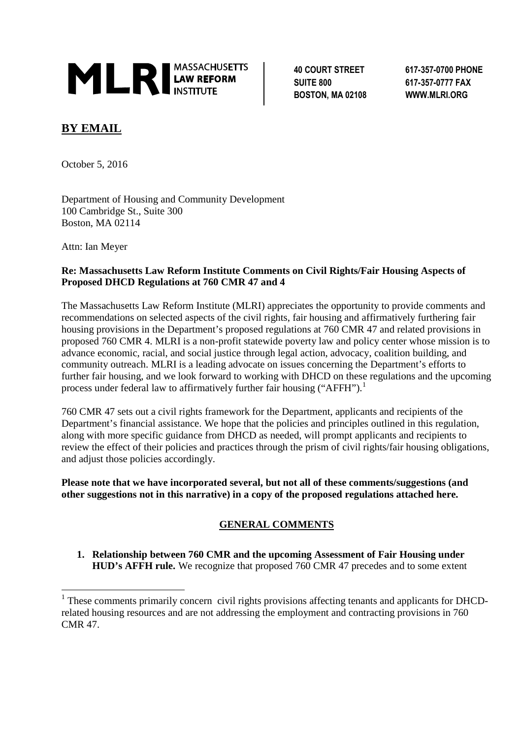

**SUITE 800 617-357-0777 FAX BOSTON, MA 02108 WWW.MLRI.ORG**

**40 COURT STREET 617-357-0700 PHONE**

## **BY EMAIL**

October 5, 2016

Department of Housing and Community Development 100 Cambridge St., Suite 300 Boston, MA 02114

Attn: Ian Meyer

#### **Re: Massachusetts Law Reform Institute Comments on Civil Rights/Fair Housing Aspects of Proposed DHCD Regulations at 760 CMR 47 and 4**

The Massachusetts Law Reform Institute (MLRI) appreciates the opportunity to provide comments and recommendations on selected aspects of the civil rights, fair housing and affirmatively furthering fair housing provisions in the Department's proposed regulations at 760 CMR 47 and related provisions in proposed 760 CMR 4. MLRI is a non-profit statewide poverty law and policy center whose mission is to advance economic, racial, and social justice through legal action, advocacy, coalition building, and community outreach. MLRI is a leading advocate on issues concerning the Department's efforts to further fair housing, and we look forward to working with DHCD on these regulations and the upcoming process under federal law to affirmatively further fair housing ("AFFH").<sup>1</sup>

760 CMR 47 sets out a civil rights framework for the Department, applicants and recipients of the Department's financial assistance. We hope that the policies and principles outlined in this regulation, along with more specific guidance from DHCD as needed, will prompt applicants and recipients to review the effect of their policies and practices through the prism of civil rights/fair housing obligations, and adjust those policies accordingly.

**Please note that we have incorporated several, but not all of these comments/suggestions (and other suggestions not in this narrative) in a copy of the proposed regulations attached here.**

## **GENERAL COMMENTS**

**1. Relationship between 760 CMR and the upcoming Assessment of Fair Housing under HUD's AFFH rule.** We recognize that proposed 760 CMR 47 precedes and to some extent

<sup>&</sup>lt;sup>1</sup> These comments primarily concern civil rights provisions affecting tenants and applicants for DHCDrelated housing resources and are not addressing the employment and contracting provisions in 760 CMR 47.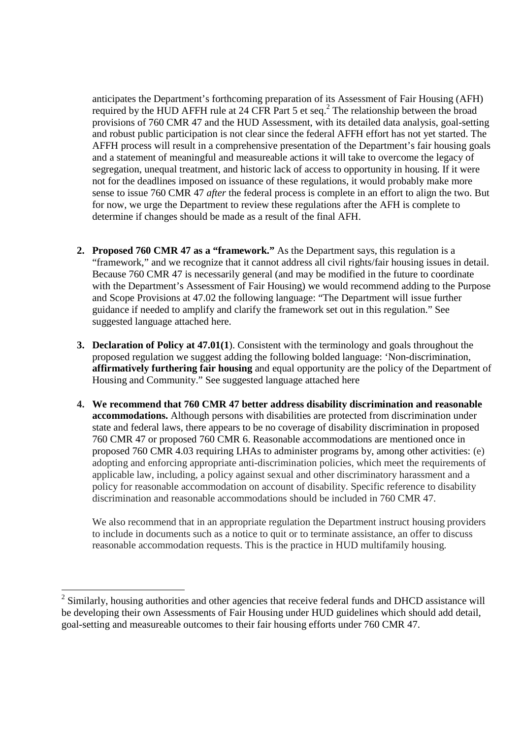anticipates the Department's forthcoming preparation of its Assessment of Fair Housing (AFH) required by the HUD AFFH rule at 24 CFR Part 5 et seq.<sup>2</sup> The relationship between the broad provisions of 760 CMR 47 and the HUD Assessment, with its detailed data analysis, goal-setting and robust public participation is not clear since the federal AFFH effort has not yet started. The AFFH process will result in a comprehensive presentation of the Department's fair housing goals and a statement of meaningful and measureable actions it will take to overcome the legacy of segregation, unequal treatment, and historic lack of access to opportunity in housing. If it were not for the deadlines imposed on issuance of these regulations, it would probably make more sense to issue 760 CMR 47 *after* the federal process is complete in an effort to align the two. But for now, we urge the Department to review these regulations after the AFH is complete to determine if changes should be made as a result of the final AFH.

- **2. Proposed 760 CMR 47 as a "framework."** As the Department says, this regulation is a "framework," and we recognize that it cannot address all civil rights/fair housing issues in detail. Because 760 CMR 47 is necessarily general (and may be modified in the future to coordinate with the Department's Assessment of Fair Housing) we would recommend adding to the Purpose and Scope Provisions at 47.02 the following language: "The Department will issue further guidance if needed to amplify and clarify the framework set out in this regulation." See suggested language attached here.
- **3. Declaration of Policy at 47.01(1**). Consistent with the terminology and goals throughout the proposed regulation we suggest adding the following bolded language: 'Non-discrimination, **affirmatively furthering fair housing** and equal opportunity are the policy of the Department of Housing and Community." See suggested language attached here
- **4. We recommend that 760 CMR 47 better address disability discrimination and reasonable accommodations.** Although persons with disabilities are protected from discrimination under state and federal laws, there appears to be no coverage of disability discrimination in proposed 760 CMR 47 or proposed 760 CMR 6. Reasonable accommodations are mentioned once in proposed 760 CMR 4.03 requiring LHAs to administer programs by, among other activities: (e) adopting and enforcing appropriate anti-discrimination policies, which meet the requirements of applicable law, including, a policy against sexual and other discriminatory harassment and a policy for reasonable accommodation on account of disability. Specific reference to disability discrimination and reasonable accommodations should be included in 760 CMR 47.

We also recommend that in an appropriate regulation the Department instruct housing providers to include in documents such as a notice to quit or to terminate assistance, an offer to discuss reasonable accommodation requests. This is the practice in HUD multifamily housing.

<sup>&</sup>lt;sup>2</sup> Similarly, housing authorities and other agencies that receive federal funds and DHCD assistance will be developing their own Assessments of Fair Housing under HUD guidelines which should add detail, goal-setting and measureable outcomes to their fair housing efforts under 760 CMR 47.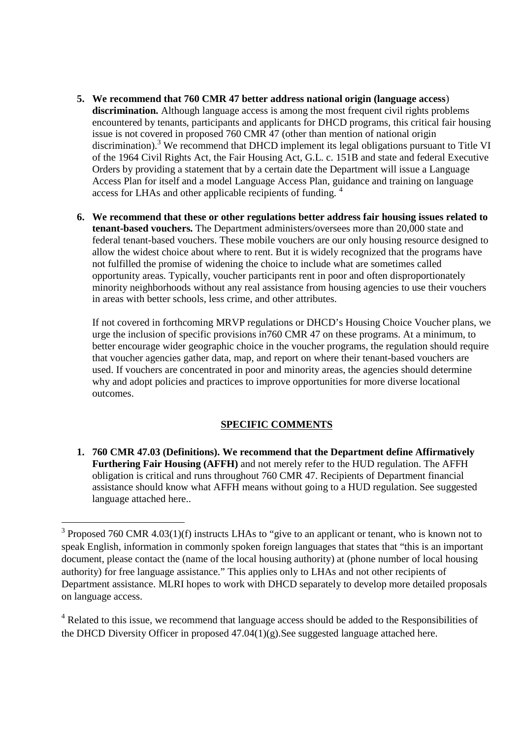- **5. We recommend that 760 CMR 47 better address national origin (language access**) **discrimination.** Although language access is among the most frequent civil rights problems encountered by tenants, participants and applicants for DHCD programs, this critical fair housing issue is not covered in proposed 760 CMR 47 (other than mention of national origin discrimination).<sup>3</sup> We recommend that DHCD implement its legal obligations pursuant to Title VI of the 1964 Civil Rights Act, the Fair Housing Act, G.L. c. 151B and state and federal Executive Orders by providing a statement that by a certain date the Department will issue a Language Access Plan for itself and a model Language Access Plan, guidance and training on language access for LHAs and other applicable recipients of funding.<sup>4</sup>
- **6. We recommend that these or other regulations better address fair housing issues related to tenant-based vouchers.** The Department administers/oversees more than 20,000 state and federal tenant-based vouchers. These mobile vouchers are our only housing resource designed to allow the widest choice about where to rent. But it is widely recognized that the programs have not fulfilled the promise of widening the choice to include what are sometimes called opportunity areas. Typically, voucher participants rent in poor and often disproportionately minority neighborhoods without any real assistance from housing agencies to use their vouchers in areas with better schools, less crime, and other attributes.

If not covered in forthcoming MRVP regulations or DHCD's Housing Choice Voucher plans, we urge the inclusion of specific provisions in760 CMR 47 on these programs. At a minimum, to better encourage wider geographic choice in the voucher programs, the regulation should require that voucher agencies gather data, map, and report on where their tenant-based vouchers are used. If vouchers are concentrated in poor and minority areas, the agencies should determine why and adopt policies and practices to improve opportunities for more diverse locational outcomes.

#### **SPECIFIC COMMENTS**

**1. 760 CMR 47.03 (Definitions). We recommend that the Department define Affirmatively Furthering Fair Housing (AFFH)** and not merely refer to the HUD regulation. The AFFH obligation is critical and runs throughout 760 CMR 47. Recipients of Department financial assistance should know what AFFH means without going to a HUD regulation. See suggested language attached here..

 $3$  Proposed 760 CMR 4.03(1)(f) instructs LHAs to "give to an applicant or tenant, who is known not to speak English, information in commonly spoken foreign languages that states that "this is an important document, please contact the (name of the local housing authority) at (phone number of local housing authority) for free language assistance." This applies only to LHAs and not other recipients of Department assistance. MLRI hopes to work with DHCD separately to develop more detailed proposals on language access.

<sup>&</sup>lt;sup>4</sup> Related to this issue, we recommend that language access should be added to the Responsibilities of the DHCD Diversity Officer in proposed 47.04(1)(g).See suggested language attached here.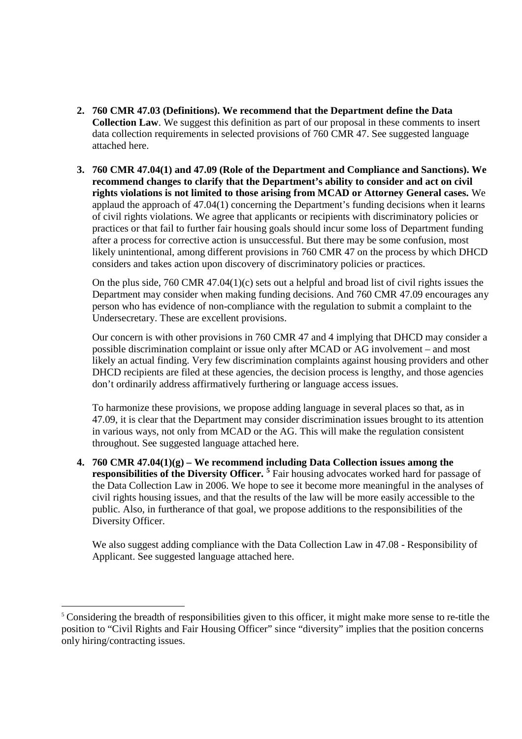- **2. 760 CMR 47.03 (Definitions). We recommend that the Department define the Data Collection Law**. We suggest this definition as part of our proposal in these comments to insert data collection requirements in selected provisions of 760 CMR 47. See suggested language attached here.
- **3. 760 CMR 47.04(1) and 47.09 (Role of the Department and Compliance and Sanctions). We recommend changes to clarify that the Department's ability to consider and act on civil rights violations is not limited to those arising from MCAD or Attorney General cases.** We applaud the approach of 47.04(1) concerning the Department's funding decisions when it learns of civil rights violations. We agree that applicants or recipients with discriminatory policies or practices or that fail to further fair housing goals should incur some loss of Department funding after a process for corrective action is unsuccessful. But there may be some confusion, most likely unintentional, among different provisions in 760 CMR 47 on the process by which DHCD considers and takes action upon discovery of discriminatory policies or practices.

On the plus side, 760 CMR 47.04(1)(c) sets out a helpful and broad list of civil rights issues the Department may consider when making funding decisions. And 760 CMR 47.09 encourages any person who has evidence of non-compliance with the regulation to submit a complaint to the Undersecretary. These are excellent provisions.

Our concern is with other provisions in 760 CMR 47 and 4 implying that DHCD may consider a possible discrimination complaint or issue only after MCAD or AG involvement – and most likely an actual finding. Very few discrimination complaints against housing providers and other DHCD recipients are filed at these agencies, the decision process is lengthy, and those agencies don't ordinarily address affirmatively furthering or language access issues.

To harmonize these provisions, we propose adding language in several places so that, as in 47.09, it is clear that the Department may consider discrimination issues brought to its attention in various ways, not only from MCAD or the AG. This will make the regulation consistent throughout. See suggested language attached here.

**4. 760 CMR 47.04(1)(g) – We recommend including Data Collection issues among the responsibilities of the Diversity Officer. <sup>5</sup>** Fair housing advocates worked hard for passage of the Data Collection Law in 2006. We hope to see it become more meaningful in the analyses of civil rights housing issues, and that the results of the law will be more easily accessible to the public. Also, in furtherance of that goal, we propose additions to the responsibilities of the Diversity Officer.

We also suggest adding compliance with the Data Collection Law in 47.08 - Responsibility of Applicant. See suggested language attached here.

<sup>&</sup>lt;sup>5</sup> Considering the breadth of responsibilities given to this officer, it might make more sense to re-title the position to "Civil Rights and Fair Housing Officer" since "diversity" implies that the position concerns only hiring/contracting issues.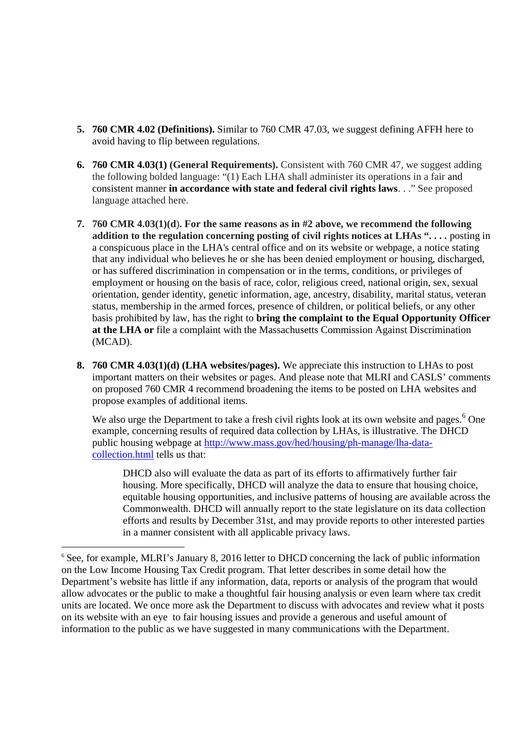- **5. 760 CMR 4.02 (Definitions).** Similar to 760 CMR 47.03, we suggest defining AFFH here to avoid having to flip between regulations.
- **6. 760 CMR 4.03(1) (General Requirements).** Consistent with 760 CMR 47, we suggest adding the following bolded language: "(1) Each LHA shall administer its operations in a fair and consistent manner **in accordance with state and federal civil rights laws**. . ." See proposed language attached here.
- **7. 760 CMR 4.03(1)(d**)**. For the same reasons as in #2 above, we recommend the following addition to the regulation concerning posting of civil rights notices at LHAs ". . . .** posting in a conspicuous place in the LHA's central office and on its website or webpage, a notice stating that any individual who believes he or she has been denied employment or housing, discharged, or has suffered discrimination in compensation or in the terms, conditions, or privileges of employment or housing on the basis of race, color, religious creed, national origin, sex, sexual orientation, gender identity, genetic information, age, ancestry, disability, marital status, veteran status, membership in the armed forces, presence of children, or political beliefs, or any other basis prohibited by law, has the right to **bring the complaint to the Equal Opportunity Officer at the LHA or** file a complaint with the Massachusetts Commission Against Discrimination (MCAD).
- **8. 760 CMR 4.03(1)(d) (LHA websites/pages).** We appreciate this instruction to LHAs to post important matters on their websites or pages. And please note that MLRI and CASLS' comments on proposed 760 CMR 4 recommend broadening the items to be posted on LHA websites and propose examples of additional items.

We also urge the Department to take a fresh civil rights look at its own website and pages.<sup>6</sup> One example, concerning results of required data collection by LHAs, is illustrative. The DHCD public housing webpage at http://www.mass.gov/hed/housing/ph-manage/lha-datacollection.html tells us that:

DHCD also will evaluate the data as part of its efforts to affirmatively further fair housing. More specifically, DHCD will analyze the data to ensure that housing choice, equitable housing opportunities, and inclusive patterns of housing are available across the Commonwealth. DHCD will annually report to the state legislature on its data collection efforts and results by December 31st, and may provide reports to other interested parties in a manner consistent with all applicable privacy laws.

<sup>&</sup>lt;sup>6</sup> See, for example, MLRI's January 8, 2016 letter to DHCD concerning the lack of public information on the Low Income Housing Tax Credit program. That letter describes in some detail how the Department's website has little if any information, data, reports or analysis of the program that would allow advocates or the public to make a thoughtful fair housing analysis or even learn where tax credit units are located. We once more ask the Department to discuss with advocates and review what it posts on its website with an eye to fair housing issues and provide a generous and useful amount of information to the public as we have suggested in many communications with the Department.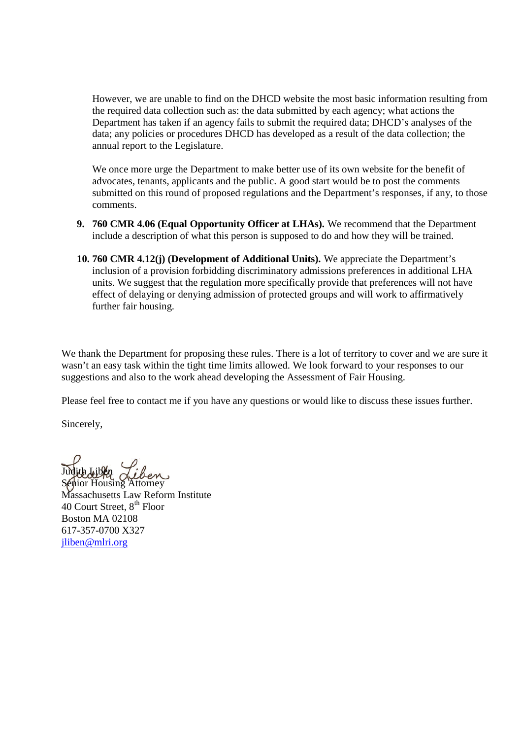However, we are unable to find on the DHCD website the most basic information resulting from the required data collection such as: the data submitted by each agency; what actions the Department has taken if an agency fails to submit the required data; DHCD's analyses of the data; any policies or procedures DHCD has developed as a result of the data collection; the annual report to the Legislature.

We once more urge the Department to make better use of its own website for the benefit of advocates, tenants, applicants and the public. A good start would be to post the comments submitted on this round of proposed regulations and the Department's responses, if any, to those comments.

- **9. 760 CMR 4.06 (Equal Opportunity Officer at LHAs).** We recommend that the Department include a description of what this person is supposed to do and how they will be trained.
- **10. 760 CMR 4.12(j) (Development of Additional Units).** We appreciate the Department's inclusion of a provision forbidding discriminatory admissions preferences in additional LHA units. We suggest that the regulation more specifically provide that preferences will not have effect of delaying or denying admission of protected groups and will work to affirmatively further fair housing.

We thank the Department for proposing these rules. There is a lot of territory to cover and we are sure it wasn't an easy task within the tight time limits allowed. We look forward to your responses to our suggestions and also to the work ahead developing the Assessment of Fair Housing.

Please feel free to contact me if you have any questions or would like to discuss these issues further.

Sincerely,

Judith Liben

Senior Housing Attorney Massachusetts Law Reform Institute 40 Court Street, 8<sup>th</sup> Floor Boston MA 02108 617-357-0700 X327 jliben@mlri.org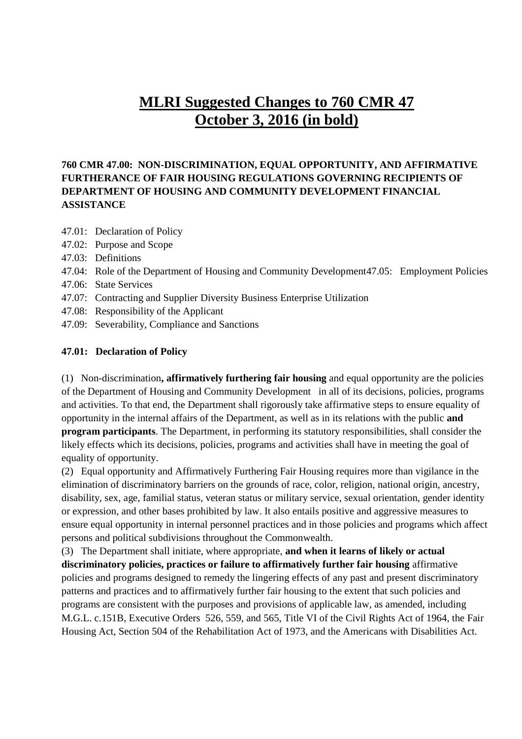# **MLRI Suggested Changes to 760 CMR 47 October 3, 2016 (in bold)**

## **760 CMR 47.00: NON-DISCRIMINATION, EQUAL OPPORTUNITY, AND AFFIRMATIVE FURTHERANCE OF FAIR HOUSING REGULATIONS GOVERNING RECIPIENTS OF DEPARTMENT OF HOUSING AND COMMUNITY DEVELOPMENT FINANCIAL ASSISTANCE**

- 47.01: Declaration of Policy
- 47.02: Purpose and Scope
- 47.03: Definitions
- 47.04: Role of the Department of Housing and Community Development47.05: Employment Policies
- 47.06: State Services
- 47.07: Contracting and Supplier Diversity Business Enterprise Utilization
- 47.08: Responsibility of the Applicant
- 47.09: Severability, Compliance and Sanctions

#### **47.01: Declaration of Policy**

(1) Non-discrimination**, affirmatively furthering fair housing** and equal opportunity are the policies of the Department of Housing and Community Development in all of its decisions, policies, programs and activities. To that end, the Department shall rigorously take affirmative steps to ensure equality of opportunity in the internal affairs of the Department, as well as in its relations with the public **and program participants**. The Department, in performing its statutory responsibilities, shall consider the likely effects which its decisions, policies, programs and activities shall have in meeting the goal of equality of opportunity.

(2) Equal opportunity and Affirmatively Furthering Fair Housing requires more than vigilance in the elimination of discriminatory barriers on the grounds of race, color, religion, national origin, ancestry, disability, sex, age, familial status, veteran status or military service, sexual orientation, gender identity or expression, and other bases prohibited by law. It also entails positive and aggressive measures to ensure equal opportunity in internal personnel practices and in those policies and programs which affect persons and political subdivisions throughout the Commonwealth.

(3) The Department shall initiate, where appropriate, **and when it learns of likely or actual discriminatory policies, practices or failure to affirmatively further fair housing** affirmative policies and programs designed to remedy the lingering effects of any past and present discriminatory patterns and practices and to affirmatively further fair housing to the extent that such policies and programs are consistent with the purposes and provisions of applicable law, as amended, including M.G.L. c.151B, Executive Orders 526, 559, and 565, Title VI of the Civil Rights Act of 1964, the Fair Housing Act, Section 504 of the Rehabilitation Act of 1973, and the Americans with Disabilities Act.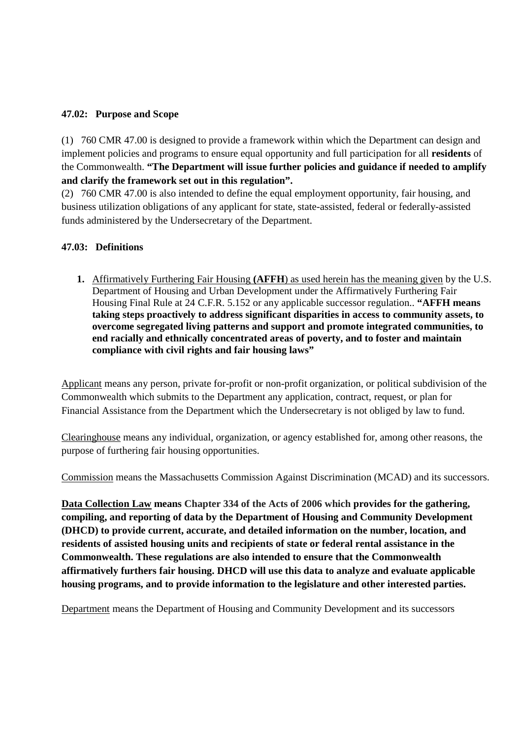#### **47.02: Purpose and Scope**

(1) 760 CMR 47.00 is designed to provide a framework within which the Department can design and implement policies and programs to ensure equal opportunity and full participation for all **residents** of the Commonwealth. **"The Department will issue further policies and guidance if needed to amplify and clarify the framework set out in this regulation".**

(2) 760 CMR 47.00 is also intended to define the equal employment opportunity, fair housing, and business utilization obligations of any applicant for state, state-assisted, federal or federally-assisted funds administered by the Undersecretary of the Department.

#### **47.03: Definitions**

**1.** Affirmatively Furthering Fair Housing **(AFFH**) as used herein has the meaning given by the U.S. Department of Housing and Urban Development under the Affirmatively Furthering Fair Housing Final Rule at 24 C.F.R. 5.152 or any applicable successor regulation.. **"AFFH means taking steps proactively to address significant disparities in access to community assets, to overcome segregated living patterns and support and promote integrated communities, to end racially and ethnically concentrated areas of poverty, and to foster and maintain compliance with civil rights and fair housing laws"**

Applicant means any person, private for-profit or non-profit organization, or political subdivision of the Commonwealth which submits to the Department any application, contract, request, or plan for Financial Assistance from the Department which the Undersecretary is not obliged by law to fund.

Clearinghouse means any individual, organization, or agency established for, among other reasons, the purpose of furthering fair housing opportunities.

Commission means the Massachusetts Commission Against Discrimination (MCAD) and its successors.

**Data Collection Law means Chapter 334 of the Acts of 2006 which provides for the gathering, compiling, and reporting of data by the Department of Housing and Community Development (DHCD) to provide current, accurate, and detailed information on the number, location, and residents of assisted housing units and recipients of state or federal rental assistance in the Commonwealth. These regulations are also intended to ensure that the Commonwealth affirmatively furthers fair housing. DHCD will use this data to analyze and evaluate applicable housing programs, and to provide information to the legislature and other interested parties.**

Department means the Department of Housing and Community Development and its successors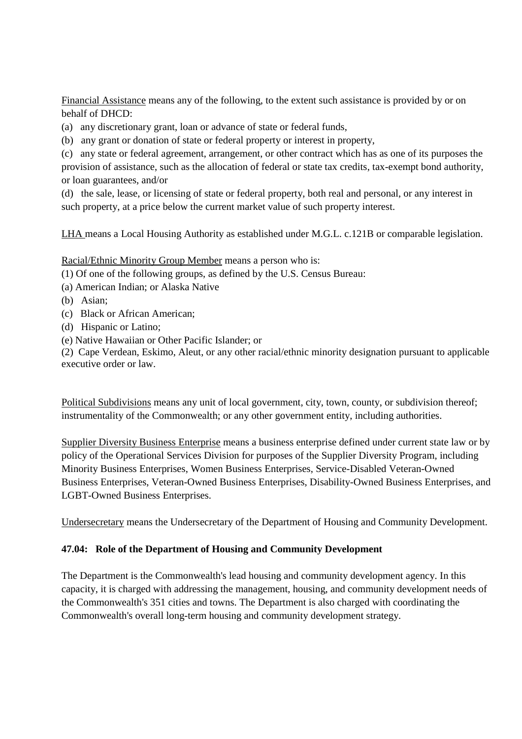Financial Assistance means any of the following, to the extent such assistance is provided by or on behalf of DHCD:

(a) any discretionary grant, loan or advance of state or federal funds,

(b) any grant or donation of state or federal property or interest in property,

(c) any state or federal agreement, arrangement, or other contract which has as one of its purposes the provision of assistance, such as the allocation of federal or state tax credits, tax-exempt bond authority, or loan guarantees, and/or

(d) the sale, lease, or licensing of state or federal property, both real and personal, or any interest in such property, at a price below the current market value of such property interest.

LHA means a Local Housing Authority as established under M.G.L. c.121B or comparable legislation.

Racial/Ethnic Minority Group Member means a person who is:

(1) Of one of the following groups, as defined by the U.S. Census Bureau:

- (a) American Indian; or Alaska Native
- (b) Asian;
- (c) Black or African American;
- (d) Hispanic or Latino;
- (e) Native Hawaiian or Other Pacific Islander; or

(2) Cape Verdean, Eskimo, Aleut, or any other racial/ethnic minority designation pursuant to applicable executive order or law.

Political Subdivisions means any unit of local government, city, town, county, or subdivision thereof; instrumentality of the Commonwealth; or any other government entity, including authorities.

Supplier Diversity Business Enterprise means a business enterprise defined under current state law or by policy of the Operational Services Division for purposes of the Supplier Diversity Program, including Minority Business Enterprises, Women Business Enterprises, Service-Disabled Veteran-Owned Business Enterprises, Veteran-Owned Business Enterprises, Disability-Owned Business Enterprises, and LGBT-Owned Business Enterprises.

Undersecretary means the Undersecretary of the Department of Housing and Community Development.

#### **47.04: Role of the Department of Housing and Community Development**

The Department is the Commonwealth's lead housing and community development agency. In this capacity, it is charged with addressing the management, housing, and community development needs of the Commonwealth's 351 cities and towns. The Department is also charged with coordinating the Commonwealth's overall long-term housing and community development strategy.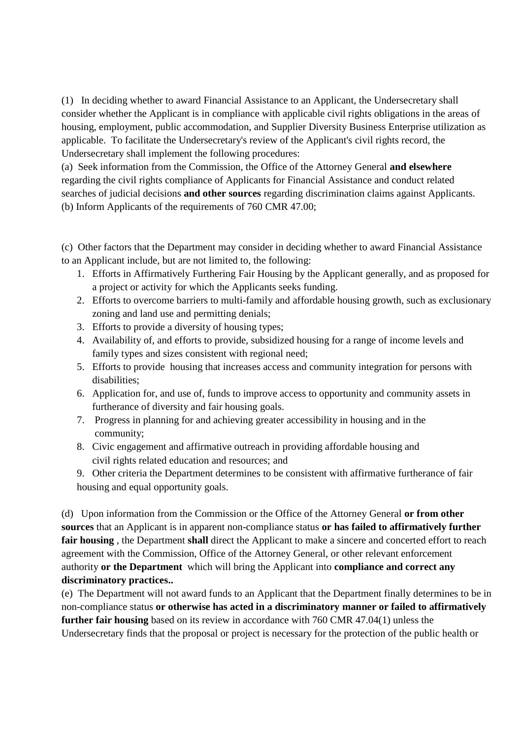(1) In deciding whether to award Financial Assistance to an Applicant, the Undersecretary shall consider whether the Applicant is in compliance with applicable civil rights obligations in the areas of housing, employment, public accommodation, and Supplier Diversity Business Enterprise utilization as applicable. To facilitate the Undersecretary's review of the Applicant's civil rights record, the Undersecretary shall implement the following procedures:

(a) Seek information from the Commission, the Office of the Attorney General **and elsewhere** regarding the civil rights compliance of Applicants for Financial Assistance and conduct related searches of judicial decisions **and other sources** regarding discrimination claims against Applicants. (b) Inform Applicants of the requirements of 760 CMR 47.00;

(c) Other factors that the Department may consider in deciding whether to award Financial Assistance to an Applicant include, but are not limited to, the following:

- 1. Efforts in Affirmatively Furthering Fair Housing by the Applicant generally, and as proposed for a project or activity for which the Applicants seeks funding.
- 2. Efforts to overcome barriers to multi-family and affordable housing growth, such as exclusionary zoning and land use and permitting denials;
- 3. Efforts to provide a diversity of housing types;
- 4. Availability of, and efforts to provide, subsidized housing for a range of income levels and family types and sizes consistent with regional need;
- 5. Efforts to provide housing that increases access and community integration for persons with disabilities;
- 6. Application for, and use of, funds to improve access to opportunity and community assets in furtherance of diversity and fair housing goals.
- 7. Progress in planning for and achieving greater accessibility in housing and in the community;
- 8. Civic engagement and affirmative outreach in providing affordable housing and civil rights related education and resources; and
- 9. Other criteria the Department determines to be consistent with affirmative furtherance of fair housing and equal opportunity goals.

(d) Upon information from the Commission or the Office of the Attorney General **or from other sources** that an Applicant is in apparent non-compliance status **or has failed to affirmatively further fair housing** , the Department **shall** direct the Applicant to make a sincere and concerted effort to reach agreement with the Commission, Office of the Attorney General, or other relevant enforcement authority **or the Department** which will bring the Applicant into **compliance and correct any discriminatory practices..**

(e) The Department will not award funds to an Applicant that the Department finally determines to be in non-compliance status **or otherwise has acted in a discriminatory manner or failed to affirmatively further fair housing** based on its review in accordance with 760 CMR 47.04(1) unless the Undersecretary finds that the proposal or project is necessary for the protection of the public health or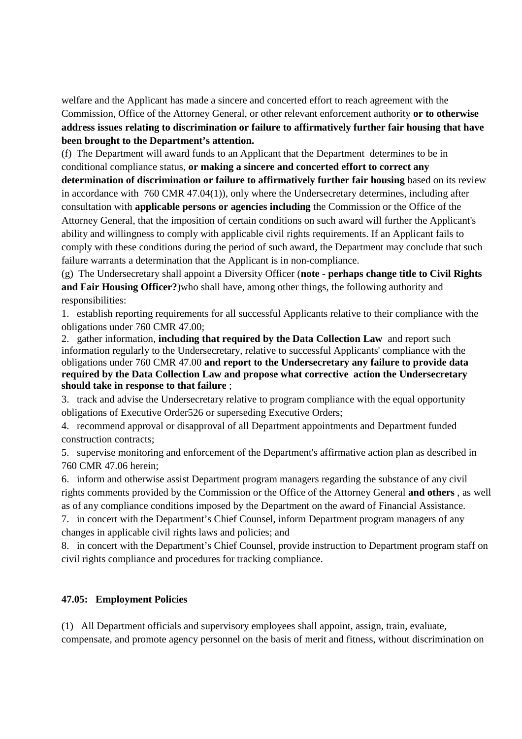welfare and the Applicant has made a sincere and concerted effort to reach agreement with the Commission, Office of the Attorney General, or other relevant enforcement authority **or to otherwise address issues relating to discrimination or failure to affirmatively further fair housing that have been brought to the Department's attention.**

(f) The Department will award funds to an Applicant that the Department determines to be in conditional compliance status, **or making a sincere and concerted effort to correct any**

**determination of discrimination or failure to affirmatively further fair housing** based on its review in accordance with 760 CMR 47.04(1)), only where the Undersecretary determines, including after consultation with **applicable persons or agencies including** the Commission or the Office of the Attorney General, that the imposition of certain conditions on such award will further the Applicant's ability and willingness to comply with applicable civil rights requirements. If an Applicant fails to comply with these conditions during the period of such award, the Department may conclude that such failure warrants a determination that the Applicant is in non-compliance.

(g) The Undersecretary shall appoint a Diversity Officer (**note** - **perhaps change title to Civil Rights and Fair Housing Officer?**)who shall have, among other things, the following authority and responsibilities:

1. establish reporting requirements for all successful Applicants relative to their compliance with the obligations under 760 CMR 47.00;

2. gather information, **including that required by the Data Collection Law** and report such information regularly to the Undersecretary, relative to successful Applicants' compliance with the obligations under 760 CMR 47.00 **and report to the Undersecretary any failure to provide data required by the Data Collection Law and propose what corrective action the Undersecretary should take in response to that failure** ;

3. track and advise the Undersecretary relative to program compliance with the equal opportunity obligations of Executive Order526 or superseding Executive Orders;

4. recommend approval or disapproval of all Department appointments and Department funded construction contracts;

5. supervise monitoring and enforcement of the Department's affirmative action plan as described in 760 CMR 47.06 herein;

6. inform and otherwise assist Department program managers regarding the substance of any civil rights comments provided by the Commission or the Office of the Attorney General **and others** , as well as of any compliance conditions imposed by the Department on the award of Financial Assistance.

7. in concert with the Department's Chief Counsel, inform Department program managers of any changes in applicable civil rights laws and policies; and

8. in concert with the Department's Chief Counsel, provide instruction to Department program staff on civil rights compliance and procedures for tracking compliance.

## **47.05: Employment Policies**

(1) All Department officials and supervisory employees shall appoint, assign, train, evaluate, compensate, and promote agency personnel on the basis of merit and fitness, without discrimination on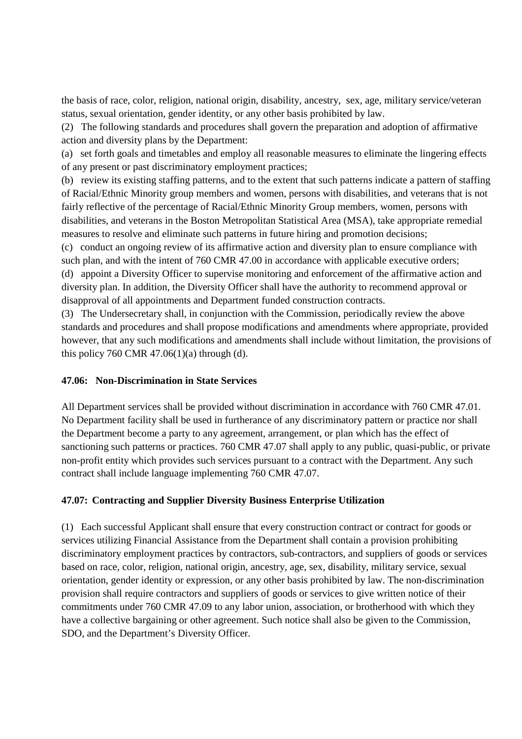the basis of race, color, religion, national origin, disability, ancestry, sex, age, military service/veteran status, sexual orientation, gender identity, or any other basis prohibited by law.

(2) The following standards and procedures shall govern the preparation and adoption of affirmative action and diversity plans by the Department:

(a) set forth goals and timetables and employ all reasonable measures to eliminate the lingering effects of any present or past discriminatory employment practices;

(b) review its existing staffing patterns, and to the extent that such patterns indicate a pattern of staffing of Racial/Ethnic Minority group members and women, persons with disabilities, and veterans that is not fairly reflective of the percentage of Racial/Ethnic Minority Group members, women, persons with disabilities, and veterans in the Boston Metropolitan Statistical Area (MSA), take appropriate remedial measures to resolve and eliminate such patterns in future hiring and promotion decisions;

(c) conduct an ongoing review of its affirmative action and diversity plan to ensure compliance with such plan, and with the intent of 760 CMR 47.00 in accordance with applicable executive orders; (d) appoint a Diversity Officer to supervise monitoring and enforcement of the affirmative action and diversity plan. In addition, the Diversity Officer shall have the authority to recommend approval or disapproval of all appointments and Department funded construction contracts.

(3) The Undersecretary shall, in conjunction with the Commission, periodically review the above standards and procedures and shall propose modifications and amendments where appropriate, provided however, that any such modifications and amendments shall include without limitation, the provisions of this policy 760 CMR 47.06(1)(a) through (d).

#### **47.06: Non-Discrimination in State Services**

All Department services shall be provided without discrimination in accordance with 760 CMR 47.01. No Department facility shall be used in furtherance of any discriminatory pattern or practice nor shall the Department become a party to any agreement, arrangement, or plan which has the effect of sanctioning such patterns or practices. 760 CMR 47.07 shall apply to any public, quasi-public, or private non-profit entity which provides such services pursuant to a contract with the Department. Any such contract shall include language implementing 760 CMR 47.07.

#### **47.07: Contracting and Supplier Diversity Business Enterprise Utilization**

(1) Each successful Applicant shall ensure that every construction contract or contract for goods or services utilizing Financial Assistance from the Department shall contain a provision prohibiting discriminatory employment practices by contractors, sub-contractors, and suppliers of goods or services based on race, color, religion, national origin, ancestry, age, sex, disability, military service, sexual orientation, gender identity or expression, or any other basis prohibited by law. The non-discrimination provision shall require contractors and suppliers of goods or services to give written notice of their commitments under 760 CMR 47.09 to any labor union, association, or brotherhood with which they have a collective bargaining or other agreement. Such notice shall also be given to the Commission, SDO, and the Department's Diversity Officer.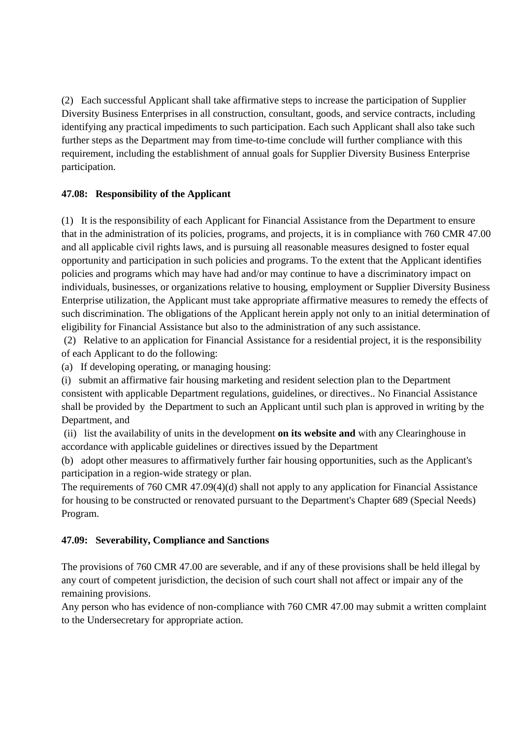(2) Each successful Applicant shall take affirmative steps to increase the participation of Supplier Diversity Business Enterprises in all construction, consultant, goods, and service contracts, including identifying any practical impediments to such participation. Each such Applicant shall also take such further steps as the Department may from time-to-time conclude will further compliance with this requirement, including the establishment of annual goals for Supplier Diversity Business Enterprise participation.

### **47.08: Responsibility of the Applicant**

(1) It is the responsibility of each Applicant for Financial Assistance from the Department to ensure that in the administration of its policies, programs, and projects, it is in compliance with 760 CMR 47.00 and all applicable civil rights laws, and is pursuing all reasonable measures designed to foster equal opportunity and participation in such policies and programs. To the extent that the Applicant identifies policies and programs which may have had and/or may continue to have a discriminatory impact on individuals, businesses, or organizations relative to housing, employment or Supplier Diversity Business Enterprise utilization, the Applicant must take appropriate affirmative measures to remedy the effects of such discrimination. The obligations of the Applicant herein apply not only to an initial determination of eligibility for Financial Assistance but also to the administration of any such assistance.

(2) Relative to an application for Financial Assistance for a residential project, it is the responsibility of each Applicant to do the following:

(a) If developing operating, or managing housing:

(i) submit an affirmative fair housing marketing and resident selection plan to the Department consistent with applicable Department regulations, guidelines, or directives.. No Financial Assistance shall be provided by the Department to such an Applicant until such plan is approved in writing by the Department, and

(ii) list the availability of units in the development **on its website and** with any Clearinghouse in accordance with applicable guidelines or directives issued by the Department

(b) adopt other measures to affirmatively further fair housing opportunities, such as the Applicant's participation in a region-wide strategy or plan.

The requirements of 760 CMR 47.09(4)(d) shall not apply to any application for Financial Assistance for housing to be constructed or renovated pursuant to the Department's Chapter 689 (Special Needs) Program.

#### **47.09: Severability, Compliance and Sanctions**

The provisions of 760 CMR 47.00 are severable, and if any of these provisions shall be held illegal by any court of competent jurisdiction, the decision of such court shall not affect or impair any of the remaining provisions.

Any person who has evidence of non-compliance with 760 CMR 47.00 may submit a written complaint to the Undersecretary for appropriate action.